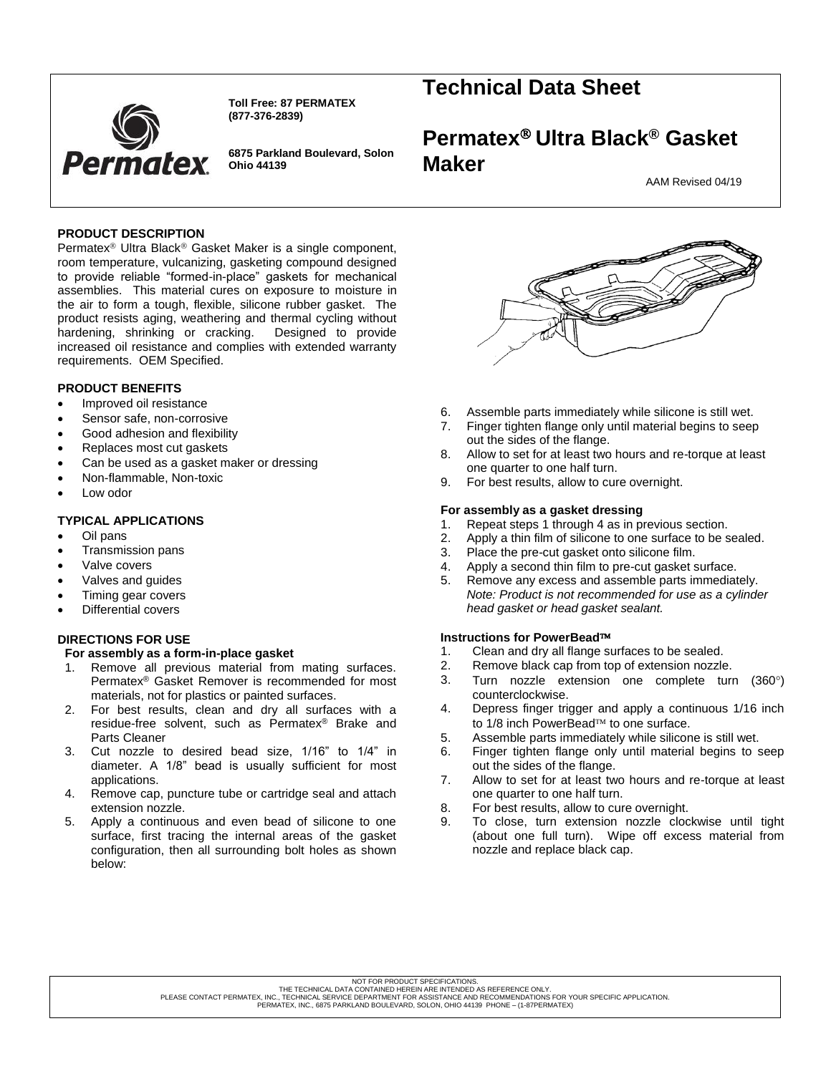

**Toll Free: 87 PERMATEX (877-376-2839)**

**6875 Parkland Boulevard, Solon Ohio 44139**

# **Technical Data Sheet**

# **Permatex Ultra Black® Gasket Maker**

AAM Revised 04/19

# **PRODUCT DESCRIPTION**

Permatex<sup>®</sup> Ultra Black<sup>®</sup> Gasket Maker is a single component, room temperature, vulcanizing, gasketing compound designed to provide reliable "formed-in-place" gaskets for mechanical assemblies. This material cures on exposure to moisture in the air to form a tough, flexible, silicone rubber gasket. The product resists aging, weathering and thermal cycling without hardening, shrinking or cracking. Designed to provide increased oil resistance and complies with extended warranty requirements. OEM Specified.

# **PRODUCT BENEFITS**

- Improved oil resistance
- Sensor safe, non-corrosive
- Good adhesion and flexibility
- Replaces most cut gaskets
- Can be used as a gasket maker or dressing
- Non-flammable, Non-toxic
- Low odor

# **TYPICAL APPLICATIONS**

- Oil pans
- Transmission pans
- Valve covers
- Valves and guides
- Timing gear covers
- Differential covers

# **DIRECTIONS FOR USE**

# **For assembly as a form-in-place gasket**

- 1. Remove all previous material from mating surfaces. Permatex® Gasket Remover is recommended for most materials, not for plastics or painted surfaces.
- 2. For best results, clean and dry all surfaces with a residue-free solvent, such as Permatex® Brake and Parts Cleaner
- 3. Cut nozzle to desired bead size, 1/16" to 1/4" in diameter. A 1/8" bead is usually sufficient for most applications.
- 4. Remove cap, puncture tube or cartridge seal and attach extension nozzle.
- 5. Apply a continuous and even bead of silicone to one surface, first tracing the internal areas of the gasket configuration, then all surrounding bolt holes as shown below:



- 6. Assemble parts immediately while silicone is still wet.
- 7. Finger tighten flange only until material begins to seep out the sides of the flange.
- 8. Allow to set for at least two hours and re-torque at least one quarter to one half turn.
- 9. For best results, allow to cure overnight.

## **For assembly as a gasket dressing**

- 1. Repeat steps 1 through 4 as in previous section.<br>2. Apply a thin film of silicone to one surface to be s
- Apply a thin film of silicone to one surface to be sealed.
- 3. Place the pre-cut gasket onto silicone film.
- 4. Apply a second thin film to pre-cut gasket surface.
- 5. Remove any excess and assemble parts immediately. *Note: Product is not recommended for use as a cylinder head gasket or head gasket sealant.*

# **Instructions for PowerBead**

- 1. Clean and dry all flange surfaces to be sealed.<br>2. Remove black cap from top of extension nozzle
- Remove black cap from top of extension nozzle.
- 3. Turn nozzle extension one complete turn  $(360^{\circ})$ counterclockwise.
- 4. Depress finger trigger and apply a continuous 1/16 inch to 1/8 inch PowerBead™ to one surface.
- 5. Assemble parts immediately while silicone is still wet.
- 6. Finger tighten flange only until material begins to seep out the sides of the flange.
- 7. Allow to set for at least two hours and re-torque at least one quarter to one half turn.
- 8. For best results, allow to cure overnight.
- 9. To close, turn extension nozzle clockwise until tight (about one full turn). Wipe off excess material from nozzle and replace black cap.